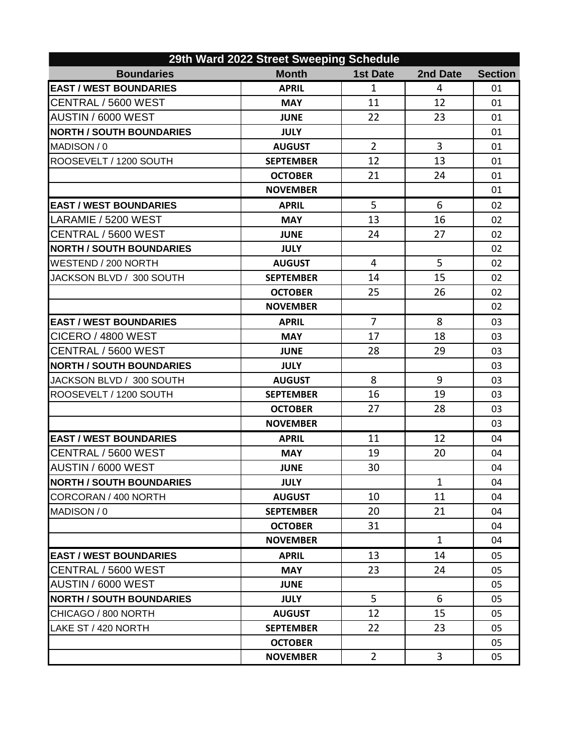| 29th Ward 2022 Street Sweeping Schedule |                  |                 |                |                |  |  |  |
|-----------------------------------------|------------------|-----------------|----------------|----------------|--|--|--|
| <b>Boundaries</b>                       | <b>Month</b>     | <b>1st Date</b> | 2nd Date       | <b>Section</b> |  |  |  |
| <b>EAST / WEST BOUNDARIES</b>           | <b>APRIL</b>     | $\mathbf{1}$    | 4              | 01             |  |  |  |
| CENTRAL / 5600 WEST                     | <b>MAY</b>       | 11              | 12             | 01             |  |  |  |
| AUSTIN / 6000 WEST                      | <b>JUNE</b>      | 22              | 23             | 01             |  |  |  |
| <b>NORTH / SOUTH BOUNDARIES</b>         | <b>JULY</b>      |                 |                | 01             |  |  |  |
| MADISON / 0                             | <b>AUGUST</b>    | $\overline{2}$  | 3              | 01             |  |  |  |
| ROOSEVELT / 1200 SOUTH                  | <b>SEPTEMBER</b> | 12              | 13             | 01             |  |  |  |
|                                         | <b>OCTOBER</b>   | 21              | 24             | 01             |  |  |  |
|                                         | <b>NOVEMBER</b>  |                 |                | 01             |  |  |  |
| <b>EAST / WEST BOUNDARIES</b>           | <b>APRIL</b>     | 5               | 6              | 02             |  |  |  |
| LARAMIE / 5200 WEST                     | <b>MAY</b>       | 13              | 16             | 02             |  |  |  |
| CENTRAL / 5600 WEST                     | <b>JUNE</b>      | 24              | 27             | 02             |  |  |  |
| <b>INORTH / SOUTH BOUNDARIES</b>        | <b>JULY</b>      |                 |                | 02             |  |  |  |
| WESTEND / 200 NORTH                     | <b>AUGUST</b>    | $\overline{4}$  | 5              | 02             |  |  |  |
| JACKSON BLVD / 300 SOUTH                | <b>SEPTEMBER</b> | 14              | 15             | 02             |  |  |  |
|                                         | <b>OCTOBER</b>   | 25              | 26             | 02             |  |  |  |
|                                         | <b>NOVEMBER</b>  |                 |                | 02             |  |  |  |
| <b>EAST / WEST BOUNDARIES</b>           | <b>APRIL</b>     | $\overline{7}$  | 8              | 03             |  |  |  |
| CICERO / 4800 WEST                      | <b>MAY</b>       | 17              | 18             | 03             |  |  |  |
| CENTRAL / 5600 WEST                     | <b>JUNE</b>      | 28              | 29             | 03             |  |  |  |
| <b>NORTH / SOUTH BOUNDARIES</b>         | <b>JULY</b>      |                 |                | 03             |  |  |  |
| JACKSON BLVD / 300 SOUTH                | <b>AUGUST</b>    | 8               | 9              | 03             |  |  |  |
| ROOSEVELT / 1200 SOUTH                  | <b>SEPTEMBER</b> | 16              | 19             | 03             |  |  |  |
|                                         | <b>OCTOBER</b>   | 27              | 28             | 03             |  |  |  |
|                                         | <b>NOVEMBER</b>  |                 |                | 03             |  |  |  |
| <b>EAST / WEST BOUNDARIES</b>           | <b>APRIL</b>     | 11              | 12             | 04             |  |  |  |
| CENTRAL / 5600 WEST                     | <b>MAY</b>       | 19              | 20             | 04             |  |  |  |
| AUSTIN / 6000 WEST                      | <b>JUNE</b>      | 30              |                | 04             |  |  |  |
| <b>NORTH / SOUTH BOUNDARIES</b>         | <b>JULY</b>      |                 | $\mathbf 1$    | 04             |  |  |  |
| CORCORAN / 400 NORTH                    | <b>AUGUST</b>    | 10              | 11             | 04             |  |  |  |
| MADISON / 0                             | <b>SEPTEMBER</b> | 20              | 21             | 04             |  |  |  |
|                                         | <b>OCTOBER</b>   | 31              |                | 04             |  |  |  |
|                                         | <b>NOVEMBER</b>  |                 | $\mathbf{1}$   | 04             |  |  |  |
| <b>EAST / WEST BOUNDARIES</b>           | <b>APRIL</b>     | 13              | 14             | 05             |  |  |  |
| CENTRAL / 5600 WEST                     | <b>MAY</b>       | 23              | 24             | 05             |  |  |  |
| AUSTIN / 6000 WEST                      | <b>JUNE</b>      |                 |                | 05             |  |  |  |
| <b>NORTH / SOUTH BOUNDARIES</b>         | <b>JULY</b>      | 5               | 6              | 05             |  |  |  |
| CHICAGO / 800 NORTH                     | <b>AUGUST</b>    | 12              | 15             | 05             |  |  |  |
| LAKE ST / 420 NORTH                     | <b>SEPTEMBER</b> | 22              | 23             | 05             |  |  |  |
|                                         | <b>OCTOBER</b>   |                 |                | 05             |  |  |  |
|                                         | <b>NOVEMBER</b>  | $2^{\circ}$     | $\overline{3}$ | 05             |  |  |  |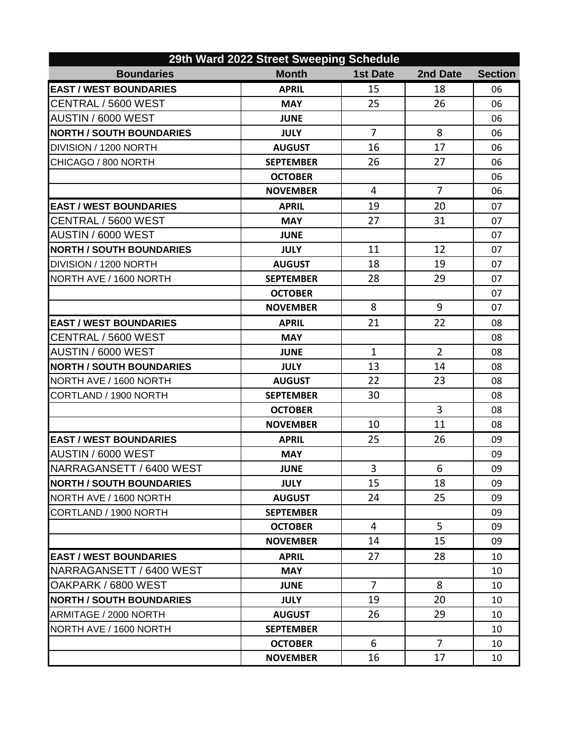| 29th Ward 2022 Street Sweeping Schedule |                  |                 |                |                |  |  |  |
|-----------------------------------------|------------------|-----------------|----------------|----------------|--|--|--|
| <b>Boundaries</b>                       | <b>Month</b>     | <b>1st Date</b> | 2nd Date       | <b>Section</b> |  |  |  |
| <b>EAST / WEST BOUNDARIES</b>           | <b>APRIL</b>     | 15              | 18             | 06             |  |  |  |
| CENTRAL / 5600 WEST                     | <b>MAY</b>       | 25              | 26             | 06             |  |  |  |
| AUSTIN / 6000 WEST                      | <b>JUNE</b>      |                 |                | 06             |  |  |  |
| <b>NORTH / SOUTH BOUNDARIES</b>         | <b>JULY</b>      | $\overline{7}$  | 8              | 06             |  |  |  |
| DIVISION / 1200 NORTH                   | <b>AUGUST</b>    | 16              | 17             | 06             |  |  |  |
| CHICAGO / 800 NORTH                     | <b>SEPTEMBER</b> | 26              | 27             | 06             |  |  |  |
|                                         | <b>OCTOBER</b>   |                 |                | 06             |  |  |  |
|                                         | <b>NOVEMBER</b>  | $\overline{4}$  | $\overline{7}$ | 06             |  |  |  |
| <b>EAST / WEST BOUNDARIES</b>           | <b>APRIL</b>     | 19              | 20             | 07             |  |  |  |
| CENTRAL / 5600 WEST                     | <b>MAY</b>       | 27              | 31             | 07             |  |  |  |
| AUSTIN / 6000 WEST                      | <b>JUNE</b>      |                 |                | 07             |  |  |  |
| <b>NORTH / SOUTH BOUNDARIES</b>         | <b>JULY</b>      | 11              | 12             | 07             |  |  |  |
| DIVISION / 1200 NORTH                   | <b>AUGUST</b>    | 18              | 19             | 07             |  |  |  |
| NORTH AVE / 1600 NORTH                  | <b>SEPTEMBER</b> | 28              | 29             | 07             |  |  |  |
|                                         | <b>OCTOBER</b>   |                 |                | 07             |  |  |  |
|                                         | <b>NOVEMBER</b>  | 8               | 9              | 07             |  |  |  |
| <b>EAST / WEST BOUNDARIES</b>           | <b>APRIL</b>     | 21              | 22             | 08             |  |  |  |
| CENTRAL / 5600 WEST                     | <b>MAY</b>       |                 |                | 08             |  |  |  |
| AUSTIN / 6000 WEST                      | <b>JUNE</b>      | $\mathbf{1}$    | $\overline{2}$ | 08             |  |  |  |
| <b>NORTH / SOUTH BOUNDARIES</b>         | <b>JULY</b>      | 13              | 14             | 08             |  |  |  |
| NORTH AVE / 1600 NORTH                  | <b>AUGUST</b>    | 22              | 23             | 08             |  |  |  |
| CORTLAND / 1900 NORTH                   | <b>SEPTEMBER</b> | 30              |                | 08             |  |  |  |
|                                         | <b>OCTOBER</b>   |                 | 3              | 08             |  |  |  |
|                                         | <b>NOVEMBER</b>  | 10              | 11             | 08             |  |  |  |
| <b>EAST / WEST BOUNDARIES</b>           | <b>APRIL</b>     | 25              | 26             | 09             |  |  |  |
| AUSTIN / 6000 WEST                      | <b>MAY</b>       |                 |                | 09             |  |  |  |
| NARRAGANSETT / 6400 WEST                | <b>JUNE</b>      | 3               | 6              | 09             |  |  |  |
| <b>NORTH / SOUTH BOUNDARIES</b>         | <b>JULY</b>      | 15              | 18             | 09             |  |  |  |
| NORTH AVE / 1600 NORTH                  | <b>AUGUST</b>    | 24              | 25             | 09             |  |  |  |
| CORTLAND / 1900 NORTH                   | <b>SEPTEMBER</b> |                 |                | 09             |  |  |  |
|                                         | <b>OCTOBER</b>   | $\overline{4}$  | 5              | 09             |  |  |  |
|                                         | <b>NOVEMBER</b>  | 14              | 15             | 09             |  |  |  |
| <b>EAST / WEST BOUNDARIES</b>           | <b>APRIL</b>     | 27              | 28             | 10             |  |  |  |
| NARRAGANSETT / 6400 WEST                | <b>MAY</b>       |                 |                | 10             |  |  |  |
| OAKPARK / 6800 WEST                     | <b>JUNE</b>      | $\overline{7}$  | 8              | 10             |  |  |  |
| <b>NORTH / SOUTH BOUNDARIES</b>         | <b>JULY</b>      | 19              | 20             | 10             |  |  |  |
| ARMITAGE / 2000 NORTH                   | <b>AUGUST</b>    | 26              | 29             | 10             |  |  |  |
| NORTH AVE / 1600 NORTH                  | <b>SEPTEMBER</b> |                 |                | 10             |  |  |  |
|                                         | <b>OCTOBER</b>   | 6               | 7              | 10             |  |  |  |
|                                         | <b>NOVEMBER</b>  | 16              | 17             | 10             |  |  |  |